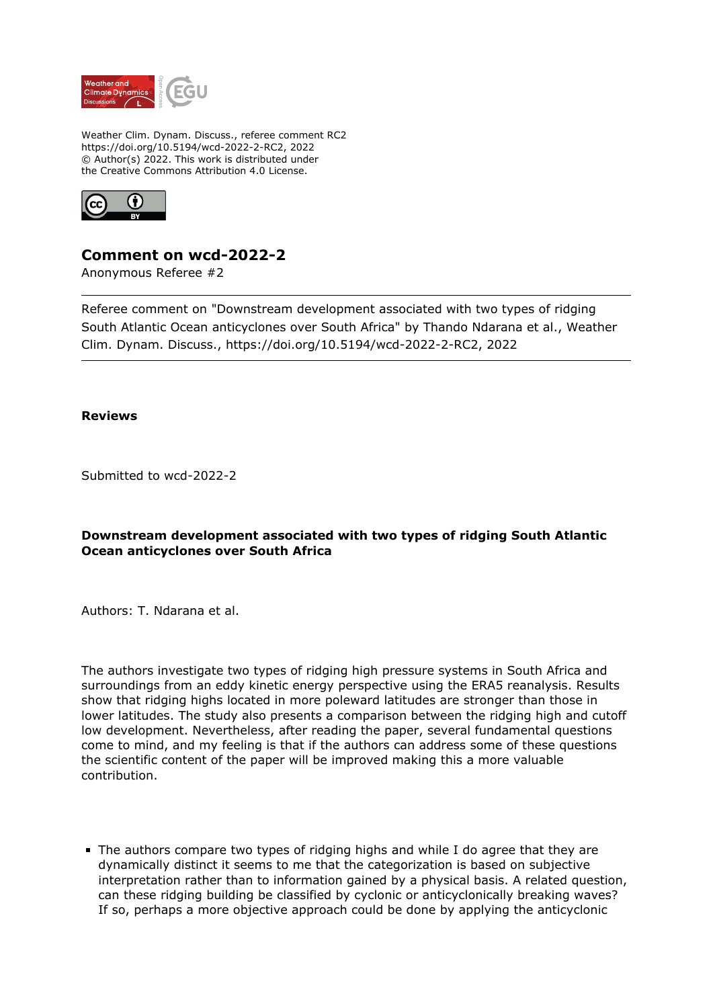

Weather Clim. Dynam. Discuss., referee comment RC2 https://doi.org/10.5194/wcd-2022-2-RC2, 2022 © Author(s) 2022. This work is distributed under the Creative Commons Attribution 4.0 License.



# **Comment on wcd-2022-2**

Anonymous Referee #2

Referee comment on "Downstream development associated with two types of ridging South Atlantic Ocean anticyclones over South Africa" by Thando Ndarana et al., Weather Clim. Dynam. Discuss., https://doi.org/10.5194/wcd-2022-2-RC2, 2022

### **Reviews**

Submitted to wcd-2022-2

## **Downstream development associated with two types of ridging South Atlantic Ocean anticyclones over South Africa**

Authors: T. Ndarana et al.

The authors investigate two types of ridging high pressure systems in South Africa and surroundings from an eddy kinetic energy perspective using the ERA5 reanalysis. Results show that ridging highs located in more poleward latitudes are stronger than those in lower latitudes. The study also presents a comparison between the ridging high and cutoff low development. Nevertheless, after reading the paper, several fundamental questions come to mind, and my feeling is that if the authors can address some of these questions the scientific content of the paper will be improved making this a more valuable contribution.

The authors compare two types of ridging highs and while I do agree that they are dynamically distinct it seems to me that the categorization is based on subjective interpretation rather than to information gained by a physical basis. A related question, can these ridging building be classified by cyclonic or anticyclonically breaking waves? If so, perhaps a more objective approach could be done by applying the anticyclonic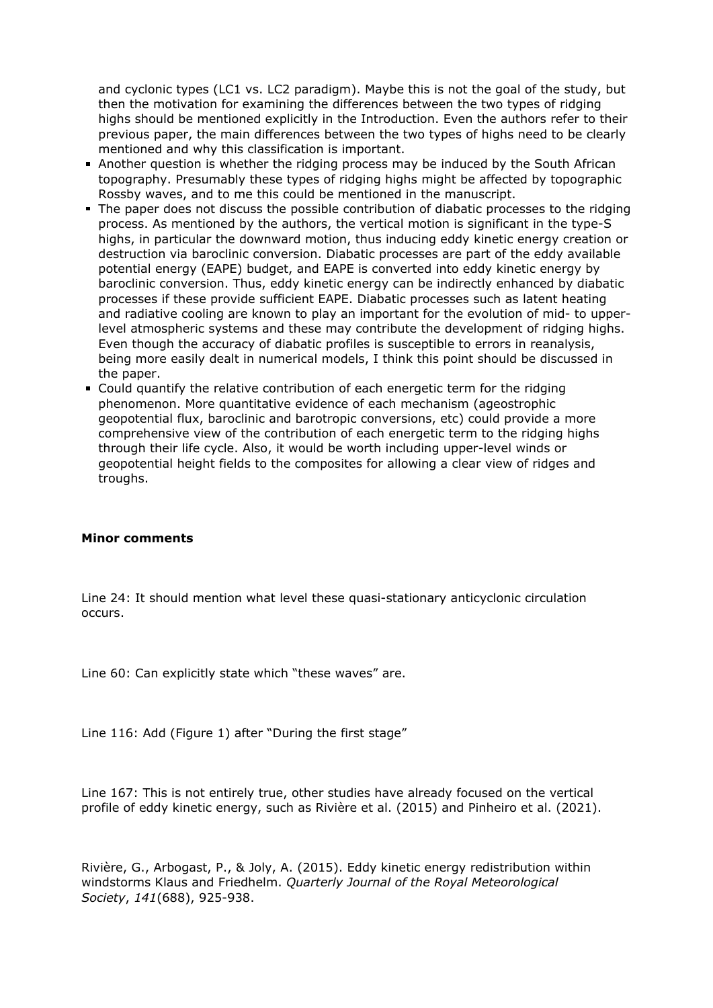and cyclonic types (LC1 vs. LC2 paradigm). Maybe this is not the goal of the study, but then the motivation for examining the differences between the two types of ridging highs should be mentioned explicitly in the Introduction. Even the authors refer to their previous paper, the main differences between the two types of highs need to be clearly mentioned and why this classification is important.

- Another question is whether the ridging process may be induced by the South African topography. Presumably these types of ridging highs might be affected by topographic Rossby waves, and to me this could be mentioned in the manuscript.
- The paper does not discuss the possible contribution of diabatic processes to the ridging process. As mentioned by the authors, the vertical motion is significant in the type-S highs, in particular the downward motion, thus inducing eddy kinetic energy creation or destruction via baroclinic conversion. Diabatic processes are part of the eddy available potential energy (EAPE) budget, and EAPE is converted into eddy kinetic energy by baroclinic conversion. Thus, eddy kinetic energy can be indirectly enhanced by diabatic processes if these provide sufficient EAPE. Diabatic processes such as latent heating and radiative cooling are known to play an important for the evolution of mid- to upperlevel atmospheric systems and these may contribute the development of ridging highs. Even though the accuracy of diabatic profiles is susceptible to errors in reanalysis, being more easily dealt in numerical models, I think this point should be discussed in the paper.
- Could quantify the relative contribution of each energetic term for the ridging phenomenon. More quantitative evidence of each mechanism (ageostrophic geopotential flux, baroclinic and barotropic conversions, etc) could provide a more comprehensive view of the contribution of each energetic term to the ridging highs through their life cycle. Also, it would be worth including upper-level winds or geopotential height fields to the composites for allowing a clear view of ridges and troughs.

#### **Minor comments**

Line 24: It should mention what level these quasi-stationary anticyclonic circulation occurs.

Line 60: Can explicitly state which "these waves" are.

Line 116: Add (Figure 1) after "During the first stage"

Line 167: This is not entirely true, other studies have already focused on the vertical profile of eddy kinetic energy, such as Rivière et al. (2015) and Pinheiro et al. (2021).

Rivière, G., Arbogast, P., & Joly, A. (2015). Eddy kinetic energy redistribution within windstorms Klaus and Friedhelm. *Quarterly Journal of the Royal Meteorological Society*, *141*(688), 925-938.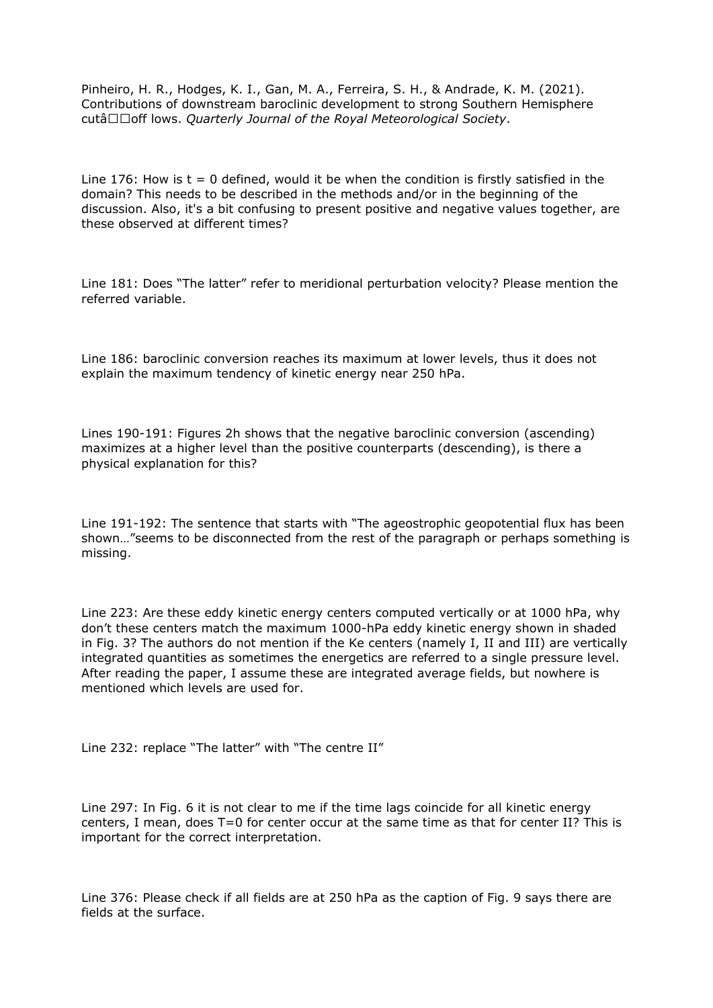Pinheiro, H. R., Hodges, K. I., Gan, M. A., Ferreira, S. H., & Andrade, K. M. (2021). Contributions of downstream baroclinic development to strong Southern Hemisphere cutâ□□off lows. *Quarterly Journal of the Royal Meteorological Society*.

Line 176: How is  $t = 0$  defined, would it be when the condition is firstly satisfied in the domain? This needs to be described in the methods and/or in the beginning of the discussion. Also, it's a bit confusing to present positive and negative values together, are these observed at different times?

Line 181: Does "The latter" refer to meridional perturbation velocity? Please mention the referred variable.

Line 186: baroclinic conversion reaches its maximum at lower levels, thus it does not explain the maximum tendency of kinetic energy near 250 hPa.

Lines 190-191: Figures 2h shows that the negative baroclinic conversion (ascending) maximizes at a higher level than the positive counterparts (descending), is there a physical explanation for this?

Line 191-192: The sentence that starts with "The ageostrophic geopotential flux has been shown…"seems to be disconnected from the rest of the paragraph or perhaps something is missing.

Line 223: Are these eddy kinetic energy centers computed vertically or at 1000 hPa, why don't these centers match the maximum 1000-hPa eddy kinetic energy shown in shaded in Fig. 3? The authors do not mention if the Ke centers (namely I, II and III) are vertically integrated quantities as sometimes the energetics are referred to a single pressure level. After reading the paper, I assume these are integrated average fields, but nowhere is mentioned which levels are used for.

Line 232: replace "The latter" with "The centre II"

Line 297: In Fig. 6 it is not clear to me if the time lags coincide for all kinetic energy centers, I mean, does T=0 for center occur at the same time as that for center II? This is important for the correct interpretation.

Line 376: Please check if all fields are at 250 hPa as the caption of Fig. 9 says there are fields at the surface.